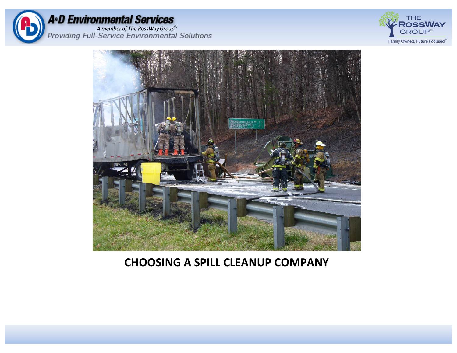





#### **CHOOSING A SPILL CLEANUP COMPANY**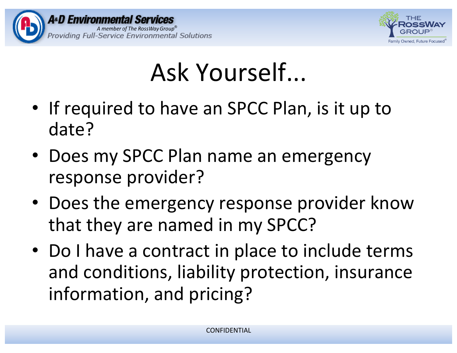



### Ask Yourself...

- If required to have an SPCC Plan, is it up to date?
- Does my SPCC Plan name an emergency response provider?
- Does the emergency response provider know that they are named in my SPCC?
- Do I have a contract in place to include terms and conditions, liability protection, insurance information, and pricing?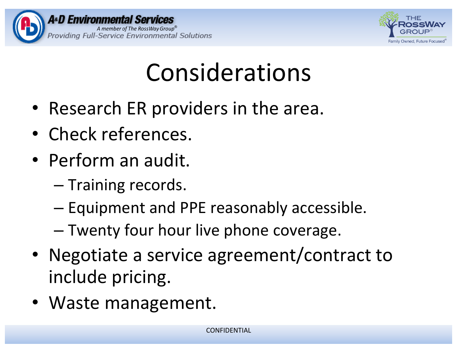



# Considerations

- Research ER providers in the area.
- Check references.
- Perform an audit.
	- Training records.
	- $-$  Equipment and PPE reasonably accessible.
	- Twenty four hour live phone coverage.
- Negotiate a service agreement/contract to include pricing.
- Waste management.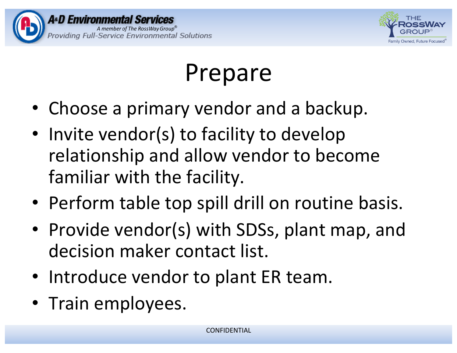



## Prepare

- Choose a primary vendor and a backup.
- Invite vendor(s) to facility to develop relationship and allow vendor to become familiar with the facility.
- Perform table top spill drill on routine basis.
- Provide vendor(s) with SDSs, plant map, and decision maker contact list.
- Introduce vendor to plant ER team.
- Train employees.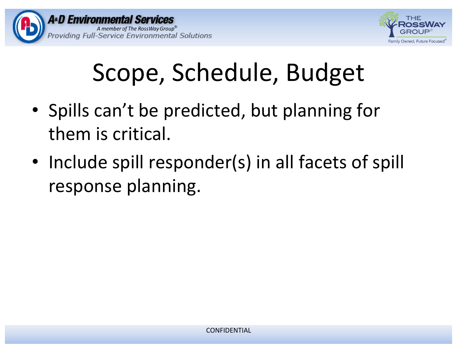



# Scope, Schedule, Budget

- Spills can't be predicted, but planning for them is critical.
- Include spill responder(s) in all facets of spill response planning.

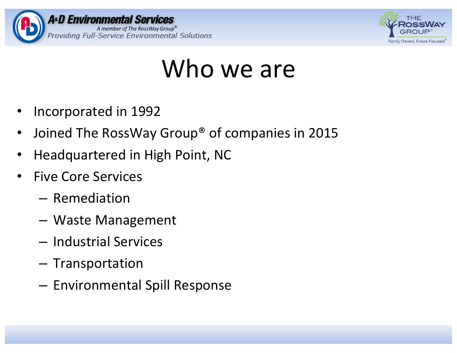



### Who we are

- Incorporated in 1992
- Joined The RossWay Group<sup>®</sup> of companies in 2015
- Headquartered in High Point, NC
- **Five Core Services** 
	- Remediation
	- Waste Management
	- Industrial Services
	- Transportation
	- Environmental Spill Response